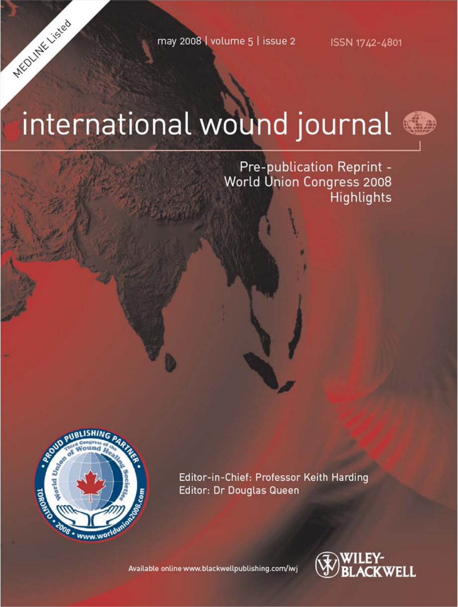may 2008 | volume 5 | issue 2

ISSN 1742-4801

## international wound journal

Pre-publication Reprint -World Union Congress 2008 Highlights



MEQUALE Listed

Editor-in-Chief: Professor Keith Harding Editor: Dr Douglas Queen

Available online www.blackwellpublishing.com/iwj

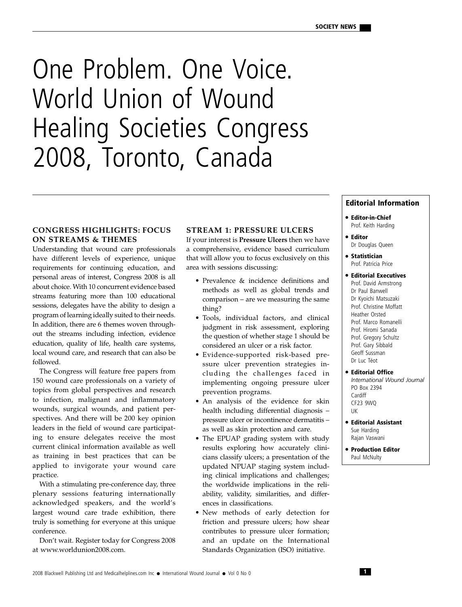## One Problem. One Voice. World Union of Wound Healing Societies Congress 2008, Toronto, Canada

#### CONGRESS HIGHLIGHTS: FOCUS ON STREAMS & THEMES

Understanding that wound care professionals have different levels of experience, unique requirements for continuing education, and personal areas of interest, Congress 2008 is all about choice. With 10 concurrent evidence based streams featuring more than 100 educational sessions, delegates have the ability to design a program of learning ideally suited to their needs. In addition, there are 6 themes woven throughout the streams including infection, evidence education, quality of life, health care systems, local wound care, and research that can also be followed.

The Congress will feature free papers from 150 wound care professionals on a variety of topics from global perspectives and research to infection, malignant and inflammatory wounds, surgical wounds, and patient perspectives. And there will be 200 key opinion leaders in the field of wound care participating to ensure delegates receive the most current clinical information available as well as training in best practices that can be applied to invigorate your wound care practice.

With a stimulating pre-conference day, three plenary sessions featuring internationally acknowledged speakers, and the world's largest wound care trade exhibition, there truly is something for everyone at this unique conference.

Don't wait. Register today for Congress 2008 at www.worldunion2008.com.

#### STREAM 1: PRESSURE ULCERS

If your interest is Pressure Ulcers then we have a comprehensive, evidence based curriculum that will allow you to focus exclusively on this area with sessions discussing:

- Prevalence & incidence definitions and methods as well as global trends and comparison – are we measuring the same thing?
- Tools, individual factors, and clinical judgment in risk assessment, exploring the question of whether stage 1 should be considered an ulcer or a risk factor.
- Evidence-supported risk-based pressure ulcer prevention strategies including the challenges faced in implementing ongoing pressure ulcer prevention programs.
- An analysis of the evidence for skin health including differential diagnosis – pressure ulcer or incontinence dermatitis – as well as skin protection and care.
- The EPUAP grading system with study results exploring how accurately clinicians classify ulcers; a presentation of the updated NPUAP staging system including clinical implications and challenges; the worldwide implications in the reliability, validity, similarities, and differences in classifications.
- New methods of early detection for friction and pressure ulcers; how shear contributes to pressure ulcer formation; and an update on the International Standards Organization (ISO) initiative.

#### Editorial Information

- Editor-in-Chief Prof. Keith Harding
- Editor Dr Douglas Queen
- Statistician Prof. Patricia Price
- Editorial Executives Prof. David Armstrong Dr Paul Banwell Dr Kyoichi Matsuzaki Prof. Christine Moffatt Heather Orsted Prof. Marco Romanelli Prof. Hiromi Sanada Prof. Gregory Schultz Prof. Gary Sibbald Geoff Sussman Dr Luc Téot

• Editorial Office International Wound Journal PO Box 2394 Cardiff CF23 9WQ UK

- Editorial Assistant Sue Harding Rajan Vaswani
- Production Editor Paul McNulty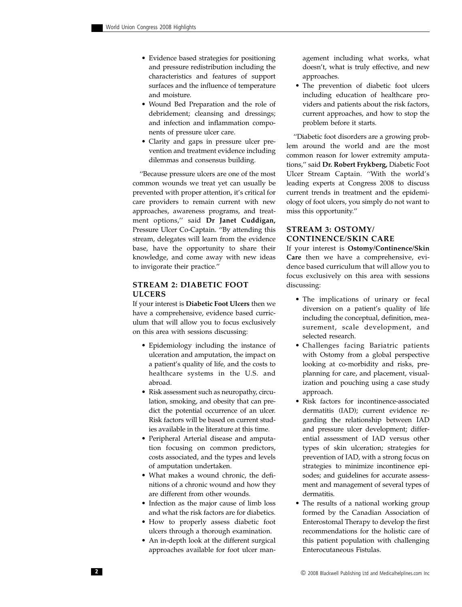- Evidence based strategies for positioning and pressure redistribution including the characteristics and features of support surfaces and the influence of temperature and moisture.
- Wound Bed Preparation and the role of debridement; cleansing and dressings; and infection and inflammation components of pressure ulcer care.
- Clarity and gaps in pressure ulcer prevention and treatment evidence including dilemmas and consensus building.

''Because pressure ulcers are one of the most common wounds we treat yet can usually be prevented with proper attention, it's critical for care providers to remain current with new approaches, awareness programs, and treatment options,'' said Dr Janet Cuddigan, Pressure Ulcer Co-Captain. ''By attending this stream, delegates will learn from the evidence base, have the opportunity to share their knowledge, and come away with new ideas to invigorate their practice.''

#### STREAM 2: DIABETIC FOOT **III CERS**

If your interest is Diabetic Foot Ulcers then we have a comprehensive, evidence based curriculum that will allow you to focus exclusively on this area with sessions discussing:

- Epidemiology including the instance of ulceration and amputation, the impact on a patient's quality of life, and the costs to healthcare systems in the U.S. and abroad.
- Risk assessment such as neuropathy, circulation, smoking, and obesity that can predict the potential occurrence of an ulcer. Risk factors will be based on current studies available in the literature at this time.
- Peripheral Arterial disease and amputation focusing on common predictors, costs associated, and the types and levels of amputation undertaken.
- What makes a wound chronic, the definitions of a chronic wound and how they are different from other wounds.
- Infection as the major cause of limb loss and what the risk factors are for diabetics.
- How to properly assess diabetic foot ulcers through a thorough examination.
- An in-depth look at the different surgical approaches available for foot ulcer man-

agement including what works, what doesn't, what is truly effective, and new approaches.

• The prevention of diabetic foot ulcers including education of healthcare providers and patients about the risk factors, current approaches, and how to stop the problem before it starts.

''Diabetic foot disorders are a growing problem around the world and are the most common reason for lower extremity amputations,'' said Dr. Robert Frykberg, Diabetic Foot Ulcer Stream Captain. ''With the world's leading experts at Congress 2008 to discuss current trends in treatment and the epidemiology of foot ulcers, you simply do not want to miss this opportunity.''

#### STREAM 3: OSTOMY/ CONTINENCE/SKIN CARE

If your interest is Ostomy/Continence/Skin Care then we have a comprehensive, evidence based curriculum that will allow you to focus exclusively on this area with sessions discussing:

- The implications of urinary or fecal diversion on a patient's quality of life including the conceptual, definition, measurement, scale development, and selected research.
- Challenges facing Bariatric patients with Ostomy from a global perspective looking at co-morbidity and risks, preplanning for care, and placement, visualization and pouching using a case study approach.
- Risk factors for incontinence-associated dermatitis (IAD); current evidence regarding the relationship between IAD and pressure ulcer development; differential assessment of IAD versus other types of skin ulceration; strategies for prevention of IAD, with a strong focus on strategies to minimize incontinence episodes; and guidelines for accurate assessment and management of several types of dermatitis.
- The results of a national working group formed by the Canadian Association of Enterostomal Therapy to develop the first recommendations for the holistic care of this patient population with challenging Enterocutaneous Fistulas.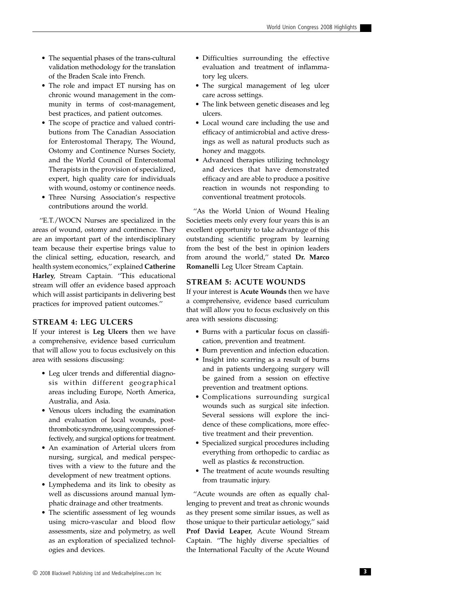- The sequential phases of the trans-cultural validation methodology for the translation of the Braden Scale into French.
- The role and impact ET nursing has on chronic wound management in the community in terms of cost-management, best practices, and patient outcomes.
- The scope of practice and valued contributions from The Canadian Association for Enterostomal Therapy, The Wound, Ostomy and Continence Nurses Society, and the World Council of Enterostomal Therapists in the provision of specialized, expert, high quality care for individuals with wound, ostomy or continence needs.
- Three Nursing Association's respective contributions around the world.

''E.T./WOCN Nurses are specialized in the areas of wound, ostomy and continence. They are an important part of the interdisciplinary team because their expertise brings value to the clinical setting, education, research, and health system economics,'' explained Catherine Harley, Stream Captain. "This educational stream will offer an evidence based approach which will assist participants in delivering best practices for improved patient outcomes.''

#### STREAM 4: LEG ULCERS

If your interest is Leg Ulcers then we have a comprehensive, evidence based curriculum that will allow you to focus exclusively on this area with sessions discussing:

- Leg ulcer trends and differential diagnosis within different geographical areas including Europe, North America, Australia, and Asia.
- Venous ulcers including the examination and evaluation of local wounds, postthrombotic syndrome, using compression effectively, and surgical options for treatment.
- An examination of Arterial ulcers from nursing, surgical, and medical perspectives with a view to the future and the development of new treatment options.
- Lymphedema and its link to obesity as well as discussions around manual lymphatic drainage and other treatments.
- The scientific assessment of leg wounds using micro-vascular and blood flow assessments, size and polymetry, as well as an exploration of specialized technologies and devices.
- Difficulties surrounding the effective evaluation and treatment of inflammatory leg ulcers.
- The surgical management of leg ulcer care across settings.
- The link between genetic diseases and leg ulcers.
- Local wound care including the use and efficacy of antimicrobial and active dressings as well as natural products such as honey and maggots.
- Advanced therapies utilizing technology and devices that have demonstrated efficacy and are able to produce a positive reaction in wounds not responding to conventional treatment protocols.

''As the World Union of Wound Healing Societies meets only every four years this is an excellent opportunity to take advantage of this outstanding scientific program by learning from the best of the best in opinion leaders from around the world,'' stated Dr. Marco Romanelli Leg Ulcer Stream Captain.

#### STREAM 5: ACUTE WOUNDS

If your interest is Acute Wounds then we have a comprehensive, evidence based curriculum that will allow you to focus exclusively on this area with sessions discussing:

- Burns with a particular focus on classification, prevention and treatment.
- Burn prevention and infection education.
- Insight into scarring as a result of burns and in patients undergoing surgery will be gained from a session on effective prevention and treatment options.
- Complications surrounding surgical wounds such as surgical site infection. Several sessions will explore the incidence of these complications, more effective treatment and their prevention.
- Specialized surgical procedures including everything from orthopedic to cardiac as well as plastics & reconstruction.
- The treatment of acute wounds resulting from traumatic injury.

"Acute wounds are often as equally challenging to prevent and treat as chronic wounds as they present some similar issues, as well as those unique to their particular aetiology,'' said Prof David Leaper, Acute Wound Stream Captain. ''The highly diverse specialties of the International Faculty of the Acute Wound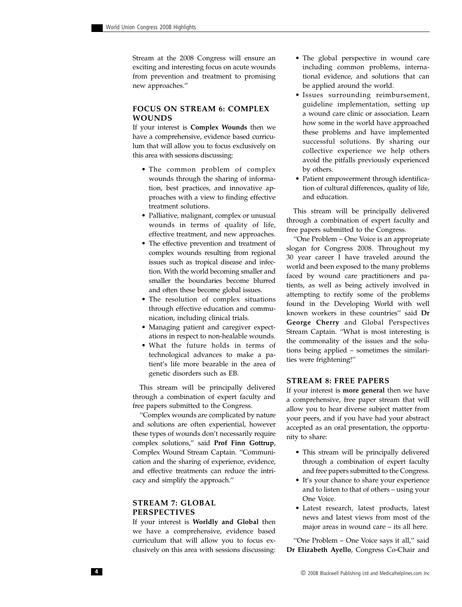Stream at the 2008 Congress will ensure an exciting and interesting focus on acute wounds from prevention and treatment to promising new approaches.''

#### FOCUS ON STREAM 6: COMPLEX **WOUNDS**

If your interest is Complex Wounds then we have a comprehensive, evidence based curriculum that will allow you to focus exclusively on this area with sessions discussing:

- The common problem of complex wounds through the sharing of information, best practices, and innovative approaches with a view to finding effective treatment solutions.
- Palliative, malignant, complex or unusual wounds in terms of quality of life, effective treatment, and new approaches.
- The effective prevention and treatment of complex wounds resulting from regional issues such as tropical disease and infection. With the world becoming smaller and smaller the boundaries become blurred and often these become global issues.
- The resolution of complex situations through effective education and communication, including clinical trials.
- Managing patient and caregiver expectations in respect to non-healable wounds.
- What the future holds in terms of technological advances to make a patient's life more bearable in the area of genetic disorders such as EB.

This stream will be principally delivered through a combination of expert faculty and free papers submitted to the Congress.

''Complex wounds are complicated by nature and solutions are often experiential, however these types of wounds don't necessarily require complex solutions,'' said Prof Finn Gottrup, Complex Wound Stream Captain. ''Communication and the sharing of experience, evidence, and effective treatments can reduce the intricacy and simplify the approach.''

#### STREAM 7: GLOBAL PERSPECTIVES

If your interest is Worldly and Global then we have a comprehensive, evidence based curriculum that will allow you to focus exclusively on this area with sessions discussing:

- The global perspective in wound care including common problems, international evidence, and solutions that can be applied around the world.
- Issues surrounding reimbursement, guideline implementation, setting up a wound care clinic or association. Learn how some in the world have approached these problems and have implemented successful solutions. By sharing our collective experience we help others avoid the pitfalls previously experienced by others.
- Patient empowerment through identification of cultural differences, quality of life, and education.

This stream will be principally delivered through a combination of expert faculty and free papers submitted to the Congress.

''One Problem – One Voice is an appropriate slogan for Congress 2008. Throughout my 30 year career I have traveled around the world and been exposed to the many problems faced by wound care practitioners and patients, as well as being actively involved in attempting to rectify some of the problems found in the Developing World with well known workers in these countries'' said Dr George Cherry and Global Perspectives Stream Captain. ''What is most interesting is the commonality of the issues and the solutions being applied – sometimes the similarities were frightening!''

#### STREAM 8: FREE PAPERS

If your interest is more general then we have a comprehensive, free paper stream that will allow you to hear diverse subject matter from your peers, and if you have had your abstract accepted as an oral presentation, the opportunity to share:

- This stream will be principally delivered through a combination of expert faculty and free papers submitted to the Congress.
- It's your chance to share your experience and to listen to that of others – using your One Voice.
- Latest research, latest products, latest news and latest views from most of the major areas in wound care – its all here.

''One Problem – One Voice says it all,'' said Dr Elizabeth Ayello, Congress Co-Chair and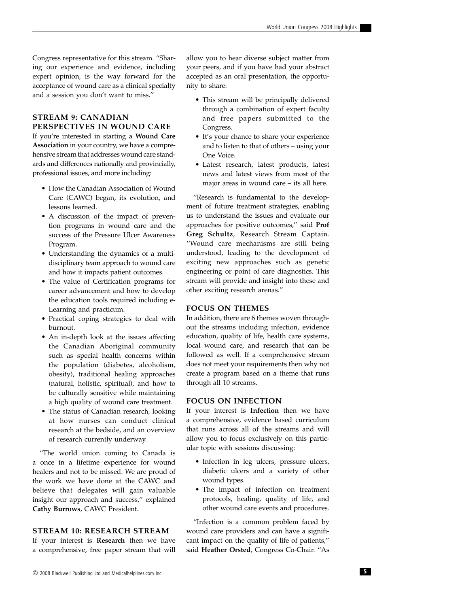Congress representative for this stream. ''Sharing our experience and evidence, including expert opinion, is the way forward for the acceptance of wound care as a clinical specialty and a session you don't want to miss.''

#### STREAM 9: CANADIAN PERSPECTIVES IN WOUND CARE

If you're interested in starting a Wound Care Association in your country, we have a comprehensive stream that addresses wound care standards and differences nationally and provincially, professional issues, and more including:

- How the Canadian Association of Wound Care (CAWC) began, its evolution, and lessons learned.
- A discussion of the impact of prevention programs in wound care and the success of the Pressure Ulcer Awareness Program.
- Understanding the dynamics of a multidisciplinary team approach to wound care and how it impacts patient outcomes.
- The value of Certification programs for career advancement and how to develop the education tools required including e-Learning and practicum.
- Practical coping strategies to deal with burnout.
- An in-depth look at the issues affecting the Canadian Aboriginal community such as special health concerns within the population (diabetes, alcoholism, obesity), traditional healing approaches (natural, holistic, spiritual), and how to be culturally sensitive while maintaining a high quality of wound care treatment.
- The status of Canadian research, looking at how nurses can conduct clinical research at the bedside, and an overview of research currently underway.

''The world union coming to Canada is a once in a lifetime experience for wound healers and not to be missed. We are proud of the work we have done at the CAWC and believe that delegates will gain valuable insight our approach and success,'' explained Cathy Burrows, CAWC President.

#### STREAM 10: RESEARCH STREAM

If your interest is Research then we have a comprehensive, free paper stream that will allow you to hear diverse subject matter from your peers, and if you have had your abstract accepted as an oral presentation, the opportunity to share:

- This stream will be principally delivered through a combination of expert faculty and free papers submitted to the Congress.
- It's your chance to share your experience and to listen to that of others – using your One Voice.
- Latest research, latest products, latest news and latest views from most of the major areas in wound care – its all here.

''Research is fundamental to the development of future treatment strategies, enabling us to understand the issues and evaluate our approaches for positive outcomes,'' said Prof Greg Schultz, Research Stream Captain. ''Wound care mechanisms are still being understood, leading to the development of exciting new approaches such as genetic engineering or point of care diagnostics. This stream will provide and insight into these and other exciting research arenas.''

#### FOCUS ON THEMES

In addition, there are 6 themes woven throughout the streams including infection, evidence education, quality of life, health care systems, local wound care, and research that can be followed as well. If a comprehensive stream does not meet your requirements then why not create a program based on a theme that runs through all 10 streams.

#### FOCUS ON INFECTION

If your interest is Infection then we have a comprehensive, evidence based curriculum that runs across all of the streams and will allow you to focus exclusively on this particular topic with sessions discussing:

- Infection in leg ulcers, pressure ulcers, diabetic ulcers and a variety of other wound types.
- The impact of infection on treatment protocols, healing, quality of life, and other wound care events and procedures.

''Infection is a common problem faced by wound care providers and can have a significant impact on the quality of life of patients,'' said Heather Orsted, Congress Co-Chair. ''As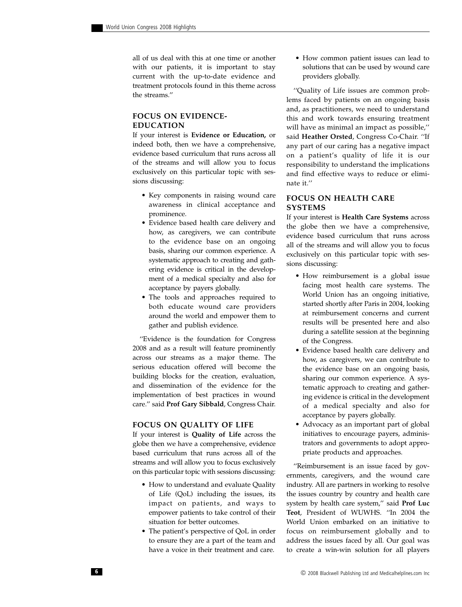all of us deal with this at one time or another with our patients, it is important to stay current with the up-to-date evidence and treatment protocols found in this theme across the streams.''

#### FOCUS ON EVIDENCE-EDUCATION

If your interest is Evidence or Education, or indeed both, then we have a comprehensive, evidence based curriculum that runs across all of the streams and will allow you to focus exclusively on this particular topic with sessions discussing:

- Key components in raising wound care awareness in clinical acceptance and prominence.
- Evidence based health care delivery and how, as caregivers, we can contribute to the evidence base on an ongoing basis, sharing our common experience. A systematic approach to creating and gathering evidence is critical in the development of a medical specialty and also for acceptance by payers globally.
- The tools and approaches required to both educate wound care providers around the world and empower them to gather and publish evidence.

''Evidence is the foundation for Congress 2008 and as a result will feature prominently across our streams as a major theme. The serious education offered will become the building blocks for the creation, evaluation, and dissemination of the evidence for the implementation of best practices in wound care.'' said Prof Gary Sibbald, Congress Chair.

#### FOCUS ON QUALITY OF LIFE

If your interest is Quality of Life across the globe then we have a comprehensive, evidence based curriculum that runs across all of the streams and will allow you to focus exclusively on this particular topic with sessions discussing:

- How to understand and evaluate Quality of Life (QoL) including the issues, its impact on patients, and ways to empower patients to take control of their situation for better outcomes.
- The patient's perspective of QoL in order to ensure they are a part of the team and have a voice in their treatment and care.

• How common patient issues can lead to solutions that can be used by wound care providers globally.

''Quality of Life issues are common problems faced by patients on an ongoing basis and, as practitioners, we need to understand this and work towards ensuring treatment will have as minimal an impact as possible,'' said Heather Orsted, Congress Co-Chair. ''If any part of our caring has a negative impact on a patient's quality of life it is our responsibility to understand the implications and find effective ways to reduce or eliminate it.''

#### FOCUS ON HEALTH CARE SYSTEMS

If your interest is Health Care Systems across the globe then we have a comprehensive, evidence based curriculum that runs across all of the streams and will allow you to focus exclusively on this particular topic with sessions discussing:

- How reimbursement is a global issue facing most health care systems. The World Union has an ongoing initiative, started shortly after Paris in 2004, looking at reimbursement concerns and current results will be presented here and also during a satellite session at the beginning of the Congress.
- Evidence based health care delivery and how, as caregivers, we can contribute to the evidence base on an ongoing basis, sharing our common experience. A systematic approach to creating and gathering evidence is critical in the development of a medical specialty and also for acceptance by payers globally.
- Advocacy as an important part of global initiatives to encourage payers, administrators and governments to adopt appropriate products and approaches.

''Reimbursement is an issue faced by governments, caregivers, and the wound care industry. All are partners in working to resolve the issues country by country and health care system by health care system," said Prof Luc Teot, President of WUWHS. ''In 2004 the World Union embarked on an initiative to focus on reimbursement globally and to address the issues faced by all. Our goal was to create a win-win solution for all players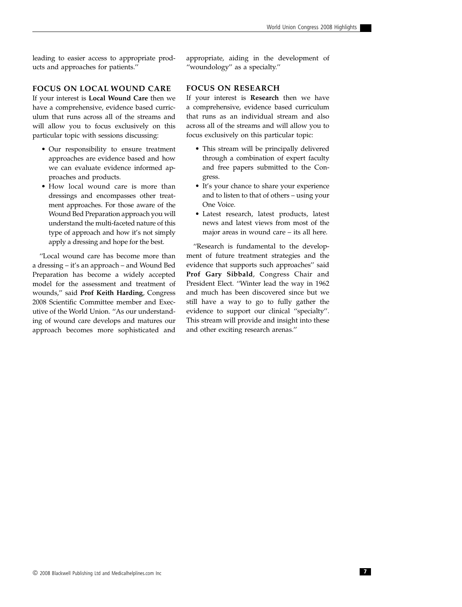leading to easier access to appropriate products and approaches for patients.''

#### FOCUS ON LOCAL WOUND CARE

If your interest is Local Wound Care then we have a comprehensive, evidence based curriculum that runs across all of the streams and will allow you to focus exclusively on this particular topic with sessions discussing:

- Our responsibility to ensure treatment approaches are evidence based and how we can evaluate evidence informed approaches and products.
- How local wound care is more than dressings and encompasses other treatment approaches. For those aware of the Wound Bed Preparation approach you will understand the multi-faceted nature of this type of approach and how it's not simply apply a dressing and hope for the best.

''Local wound care has become more than a dressing – it's an approach – and Wound Bed Preparation has become a widely accepted model for the assessment and treatment of wounds,'' said Prof Keith Harding, Congress 2008 Scientific Committee member and Executive of the World Union. ''As our understanding of wound care develops and matures our approach becomes more sophisticated and

appropriate, aiding in the development of ''woundology'' as a specialty.''

#### FOCUS ON RESEARCH

If your interest is Research then we have a comprehensive, evidence based curriculum that runs as an individual stream and also across all of the streams and will allow you to focus exclusively on this particular topic:

- This stream will be principally delivered through a combination of expert faculty and free papers submitted to the Congress.
- It's your chance to share your experience and to listen to that of others – using your One Voice.
- Latest research, latest products, latest news and latest views from most of the major areas in wound care – its all here.

''Research is fundamental to the development of future treatment strategies and the evidence that supports such approaches'' said Prof Gary Sibbald, Congress Chair and President Elect. ''Winter lead the way in 1962 and much has been discovered since but we still have a way to go to fully gather the evidence to support our clinical ''specialty''. This stream will provide and insight into these and other exciting research arenas.''